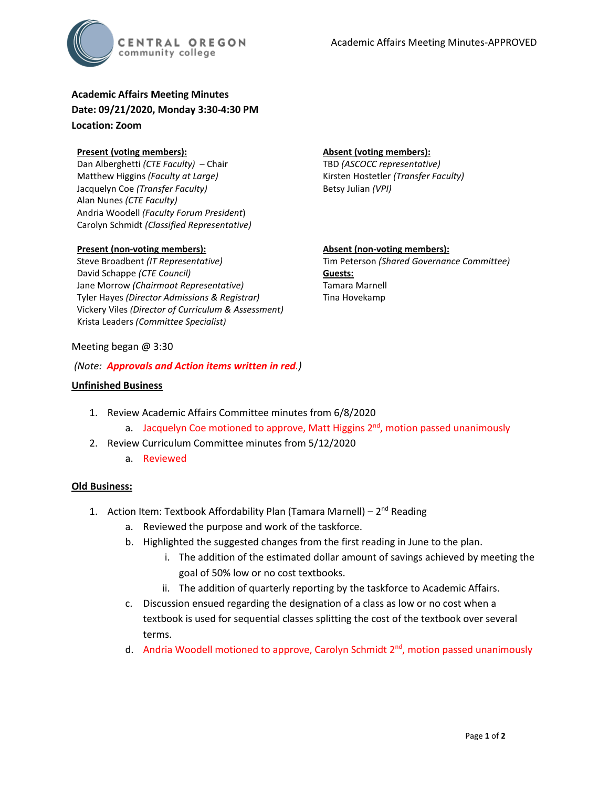

**Academic Affairs Meeting Minutes Date: 09/21/2020, Monday 3:30-4:30 PM Location: Zoom**

### **Present (voting members):**

Dan Alberghetti *(CTE Faculty)* – Chair Matthew Higgins *(Faculty at Large)* Jacquelyn Coe *(Transfer Faculty)*  Alan Nunes *(CTE Faculty)* Andria Woodell *(Faculty Forum President*) Carolyn Schmidt *(Classified Representative)*

## **Present (non-voting members):**

Steve Broadbent *(IT Representative)* David Schappe *(CTE Council)* Jane Morrow *(Chairmoot Representative)* Tyler Hayes *(Director Admissions & Registrar)* Vickery Viles *(Director of Curriculum & Assessment)* Krista Leaders *(Committee Specialist)*

#### **Absent (voting members):**

TBD *(ASCOCC representative)* Kirsten Hostetler *(Transfer Faculty)* Betsy Julian *(VPI)*

### **Absent (non-voting members):**

Tim Peterson *(Shared Governance Committee)* **Guests:** Tamara Marnell Tina Hovekamp

## Meeting began @ 3:30

### *(Note: Approvals and Action items written in red.)*

### **Unfinished Business**

- 1. Review Academic Affairs Committee minutes from 6/8/2020
	- a. Jacquelyn Coe motioned to approve, Matt Higgins  $2<sup>nd</sup>$ , motion passed unanimously
- 2. Review Curriculum Committee minutes from 5/12/2020
	- a. Reviewed

## **Old Business:**

- 1. Action Item: Textbook Affordability Plan (Tamara Marnell)  $2<sup>nd</sup>$  Reading
	- a. Reviewed the purpose and work of the taskforce.
	- b. Highlighted the suggested changes from the first reading in June to the plan.
		- i. The addition of the estimated dollar amount of savings achieved by meeting the goal of 50% low or no cost textbooks.
		- ii. The addition of quarterly reporting by the taskforce to Academic Affairs.
	- c. Discussion ensued regarding the designation of a class as low or no cost when a textbook is used for sequential classes splitting the cost of the textbook over several terms.
	- d. Andria Woodell motioned to approve, Carolyn Schmidt  $2<sup>nd</sup>$ , motion passed unanimously